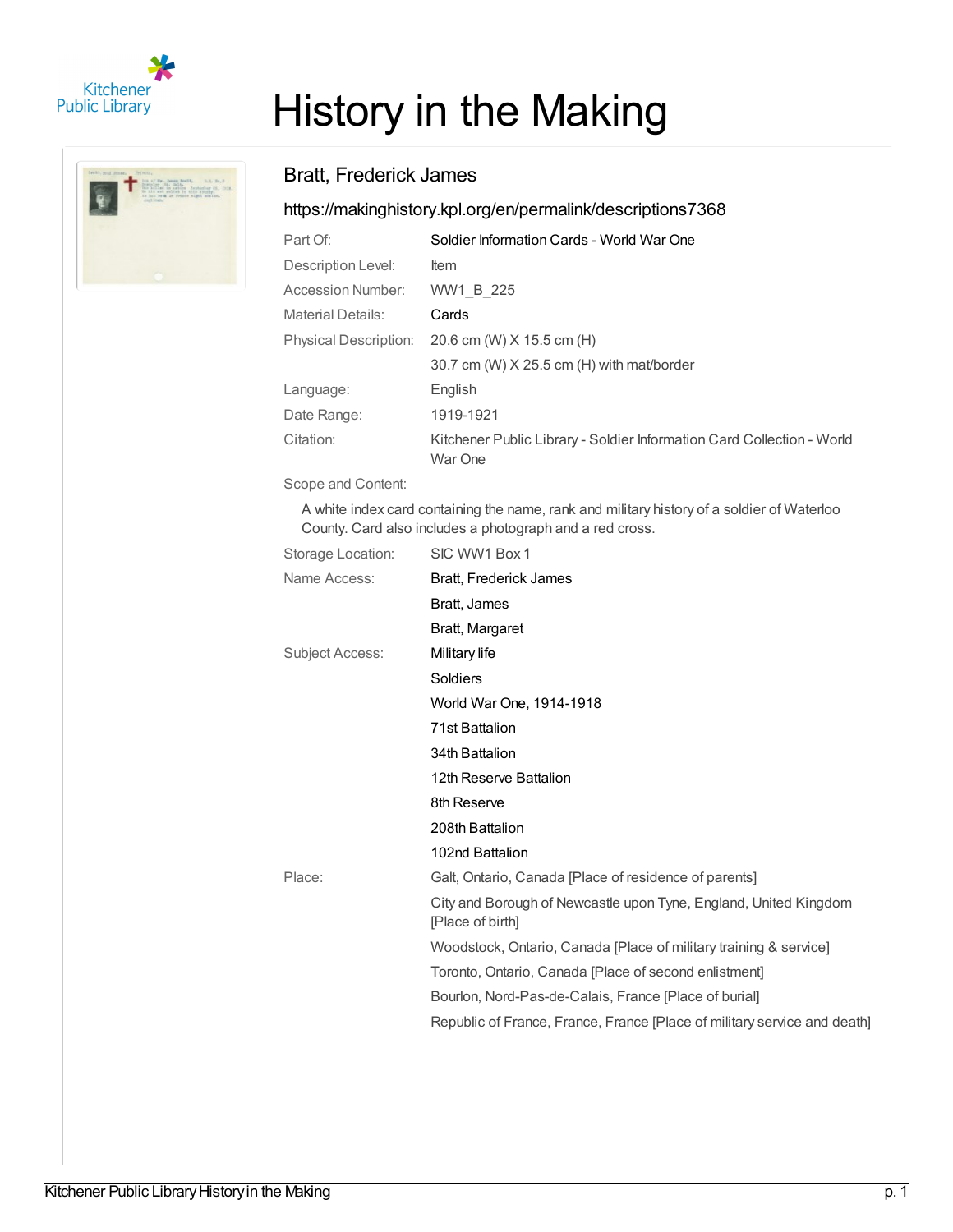



## History in the Making

## Bratt, Frederick James

## <https://makinghistory.kpl.org/en/permalink/descriptions7368>

| Part Of:                     | Soldier Information Cards - World War One                                         |
|------------------------------|-----------------------------------------------------------------------------------|
| Description Level:           | <b>Item</b>                                                                       |
| Accession Number:            | WW1 B 225                                                                         |
| <b>Material Details:</b>     | Cards                                                                             |
| <b>Physical Description:</b> | 20.6 cm (W) X 15.5 cm (H)                                                         |
|                              | 30.7 cm (W) X 25.5 cm (H) with mat/border                                         |
| Language:                    | English                                                                           |
| Date Range:                  | 1919-1921                                                                         |
| Citation:                    | Kitchener Public Library - Soldier Information Card Collection - World<br>War One |

Scope and Content:

A white index card containing the name, rank and military history of a soldier of Waterloo County. Card also includes a photograph and a red cross.

| Storage Location: | SIC WW1 Box 1                                                                        |
|-------------------|--------------------------------------------------------------------------------------|
| Name Access:      | Bratt, Frederick James                                                               |
|                   | Bratt, James                                                                         |
|                   | Bratt, Margaret                                                                      |
| Subject Access:   | Military life                                                                        |
|                   | Soldiers                                                                             |
|                   | World War One, 1914-1918                                                             |
|                   | 71st Battalion                                                                       |
|                   | 34th Battalion                                                                       |
|                   | 12th Reserve Battalion                                                               |
|                   | 8th Reserve                                                                          |
|                   | 208th Battalion                                                                      |
|                   | 102nd Battalion                                                                      |
| Place:            | Galt, Ontario, Canada [Place of residence of parents]                                |
|                   | City and Borough of Newcastle upon Tyne, England, United Kingdom<br>[Place of birth] |
|                   | Woodstock, Ontario, Canada [Place of military training & service]                    |
|                   | Toronto, Ontario, Canada [Place of second enlistment]                                |
|                   | Bourlon, Nord-Pas-de-Calais, France [Place of burial]                                |
|                   | Republic of France, France, France [Place of military service and death]             |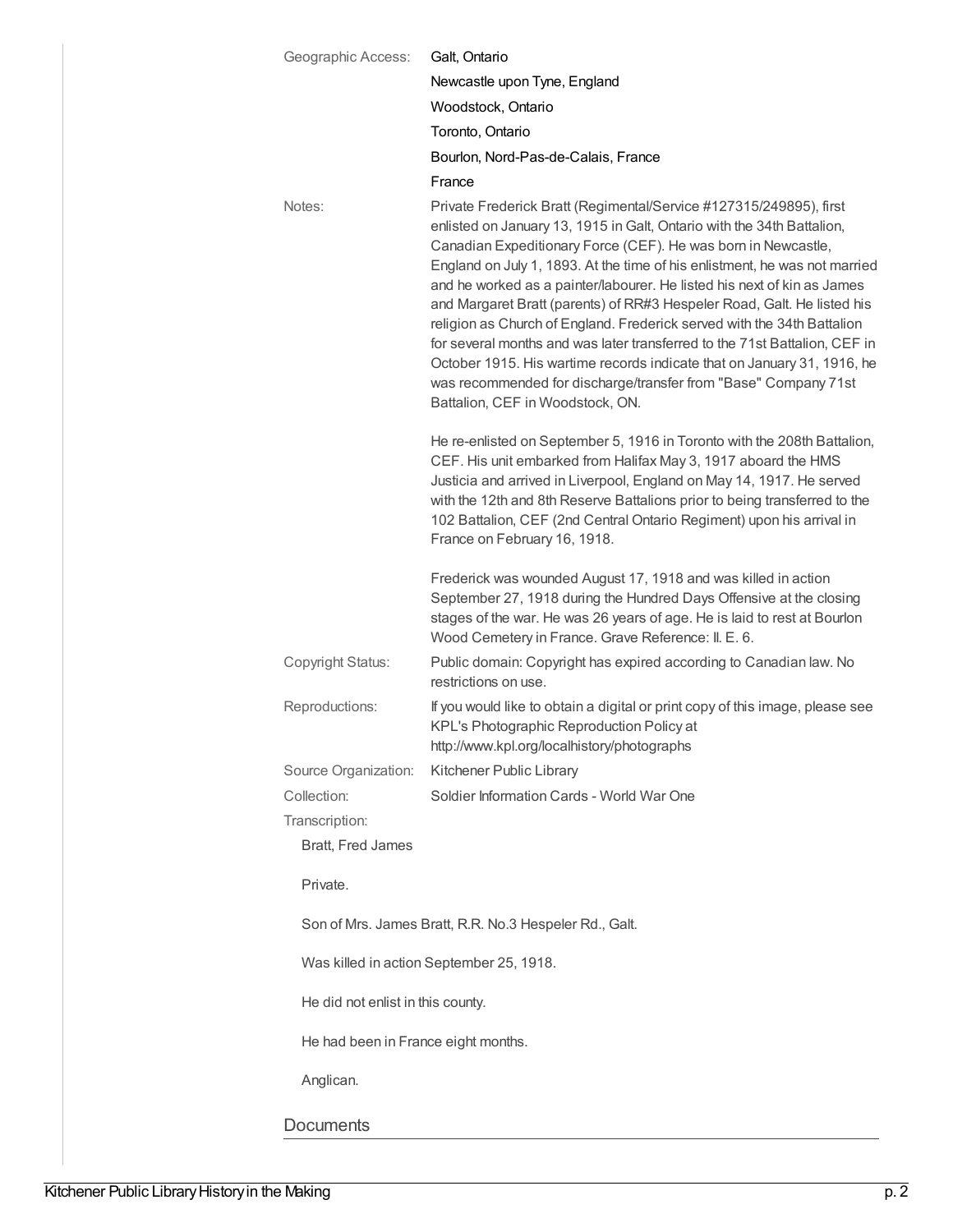| Geographic Access:                  | Galt, Ontario                                                                                                                                                                                                                                                                                                                                                                                                                                                                                                                                                                                                                                                                                                                                                                                |
|-------------------------------------|----------------------------------------------------------------------------------------------------------------------------------------------------------------------------------------------------------------------------------------------------------------------------------------------------------------------------------------------------------------------------------------------------------------------------------------------------------------------------------------------------------------------------------------------------------------------------------------------------------------------------------------------------------------------------------------------------------------------------------------------------------------------------------------------|
|                                     | Newcastle upon Tyne, England                                                                                                                                                                                                                                                                                                                                                                                                                                                                                                                                                                                                                                                                                                                                                                 |
|                                     | Woodstock, Ontario                                                                                                                                                                                                                                                                                                                                                                                                                                                                                                                                                                                                                                                                                                                                                                           |
|                                     | Toronto, Ontario                                                                                                                                                                                                                                                                                                                                                                                                                                                                                                                                                                                                                                                                                                                                                                             |
|                                     | Bourlon, Nord-Pas-de-Calais, France                                                                                                                                                                                                                                                                                                                                                                                                                                                                                                                                                                                                                                                                                                                                                          |
|                                     | France                                                                                                                                                                                                                                                                                                                                                                                                                                                                                                                                                                                                                                                                                                                                                                                       |
| Notes:                              | Private Frederick Bratt (Regimental/Service #127315/249895), first<br>enlisted on January 13, 1915 in Galt, Ontario with the 34th Battalion,<br>Canadian Expeditionary Force (CEF). He was born in Newcastle,<br>England on July 1, 1893. At the time of his enlistment, he was not married<br>and he worked as a painter/labourer. He listed his next of kin as James<br>and Margaret Bratt (parents) of RR#3 Hespeler Road, Galt. He listed his<br>religion as Church of England. Frederick served with the 34th Battalion<br>for several months and was later transferred to the 71st Battalion, CEF in<br>October 1915. His wartime records indicate that on January 31, 1916, he<br>was recommended for discharge/transfer from "Base" Company 71st<br>Battalion, CEF in Woodstock, ON. |
|                                     | He re-enlisted on September 5, 1916 in Toronto with the 208th Battalion,<br>CEF. His unit embarked from Halifax May 3, 1917 aboard the HMS<br>Justicia and arrived in Liverpool, England on May 14, 1917. He served<br>with the 12th and 8th Reserve Battalions prior to being transferred to the<br>102 Battalion, CEF (2nd Central Ontario Regiment) upon his arrival in<br>France on February 16, 1918.<br>Frederick was wounded August 17, 1918 and was killed in action<br>September 27, 1918 during the Hundred Days Offensive at the closing<br>stages of the war. He was 26 years of age. He is laid to rest at Bourlon                                                                                                                                                              |
| Copyright Status:                   | Wood Cemetery in France. Grave Reference: II. E. 6.<br>Public domain: Copyright has expired according to Canadian law. No                                                                                                                                                                                                                                                                                                                                                                                                                                                                                                                                                                                                                                                                    |
|                                     | restrictions on use.                                                                                                                                                                                                                                                                                                                                                                                                                                                                                                                                                                                                                                                                                                                                                                         |
| Reproductions:                      | If you would like to obtain a digital or print copy of this image, please see<br>KPL's Photographic Reproduction Policy at<br>http://www.kpl.org/localhistory/photographs                                                                                                                                                                                                                                                                                                                                                                                                                                                                                                                                                                                                                    |
| Source Organization:                | Kitchener Public Library                                                                                                                                                                                                                                                                                                                                                                                                                                                                                                                                                                                                                                                                                                                                                                     |
| Collection:                         | Soldier Information Cards - World War One                                                                                                                                                                                                                                                                                                                                                                                                                                                                                                                                                                                                                                                                                                                                                    |
| Transcription:                      |                                                                                                                                                                                                                                                                                                                                                                                                                                                                                                                                                                                                                                                                                                                                                                                              |
| Bratt, Fred James                   |                                                                                                                                                                                                                                                                                                                                                                                                                                                                                                                                                                                                                                                                                                                                                                                              |
| Private.                            |                                                                                                                                                                                                                                                                                                                                                                                                                                                                                                                                                                                                                                                                                                                                                                                              |
|                                     | Son of Mrs. James Bratt, R.R. No.3 Hespeler Rd., Galt.                                                                                                                                                                                                                                                                                                                                                                                                                                                                                                                                                                                                                                                                                                                                       |
|                                     | Was killed in action September 25, 1918.                                                                                                                                                                                                                                                                                                                                                                                                                                                                                                                                                                                                                                                                                                                                                     |
| He did not enlist in this county.   |                                                                                                                                                                                                                                                                                                                                                                                                                                                                                                                                                                                                                                                                                                                                                                                              |
| He had been in France eight months. |                                                                                                                                                                                                                                                                                                                                                                                                                                                                                                                                                                                                                                                                                                                                                                                              |
| Anglican.                           |                                                                                                                                                                                                                                                                                                                                                                                                                                                                                                                                                                                                                                                                                                                                                                                              |
| <b>Documents</b>                    |                                                                                                                                                                                                                                                                                                                                                                                                                                                                                                                                                                                                                                                                                                                                                                                              |